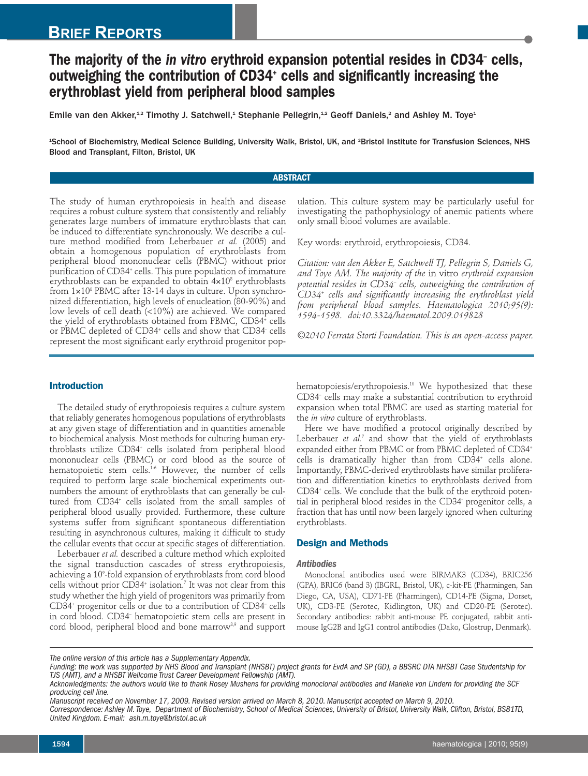# **BRIEF REPORTS**

# **The majority of the** *in vitro* **erythroid expansion potential resides in CD34– cells, outweighing the contribution of CD34+ cells and significantly increasing the erythroblast yield from peripheral blood samples**

Emile van den Akker, $^{4,2}$  Timothy J. Satchwell, $^4$  Stephanie Pellegrin, $^{4,2}$  Geoff Daniels, $^2$  and Ashley M. Toye $^4$ 

1 School of Biochemistry, Medical Science Building, University Walk, Bristol, UK, and <sup>2</sup> Bristol Institute for Transfusion Sciences, NHS Blood and Transplant, Filton, Bristol, UK

### **ABSTRACT**

The study of human erythropoiesis in health and disease requires a robust culture system that consistently and reliably generates large numbers of immature erythroblasts that can be induced to differentiate synchronously. We describe a culture method modified from Leberbauer *et al.* (2005) and obtain a homogenous population of erythroblasts from peripheral blood mononuclear cells (PBMC) without prior purification of CD34<sup>+</sup> cells. This pure population of immature erythroblasts can be expanded to obtain  $4\times10^8$  erythroblasts from 1×10<sup>8</sup> PBMC after 13-14 days in culture. Upon synchronized differentiation, high levels of enucleation (80-90%) and low levels of cell death (<10%) are achieved. We compared the yield of erythroblasts obtained from PBMC, CD34<sup>+</sup> cells or PBMC depleted of CD34<sup>+</sup> cells and show that CD34<sup>-</sup> cells represent the most significant early erythroid progenitor population. This culture system may be particularly useful for investigating the pathophysiology of anemic patients where only small blood volumes are available.

Key words: erythroid, erythropoiesis, CD34.

*Citation: van den Akker E, Satchwell TJ, Pellegrin S, Daniels G, and Toye AM. The majority of the* in vitro *erythroid expansion potential resides in CD34– cells, outweighing the contribution of CD34+ cells and significantly increasing the erythroblast yield from peripheral blood samples. Haematologica 2010;95(9): 1594-1598. doi:10.3324/haematol.2009.019828*

*©2010 Ferrata Storti Foundation. This is an open-access paper.*

# **Introduction**

The detailed study of erythropoiesis requires a culture system that reliably generates homogenous populations of erythroblasts at any given stage of differentiation and in quantities amenable to biochemical analysis. Most methods for culturing human erythroblasts utilize CD34+ cells isolated from peripheral blood mononuclear cells (PBMC) or cord blood as the source of hematopoietic stem cells. 1-6 However, the number of cells required to perform large scale biochemical experiments outnumbers the amount of erythroblasts that can generally be cultured from CD34<sup>+</sup> cells isolated from the small samples of peripheral blood usually provided. Furthermore, these culture systems suffer from significant spontaneous differentiation resulting in asynchronous cultures, making it difficult to study the cellular events that occur at specific stages of differentiation.

Leberbauer *et al.* described a culture method which exploited the signal transduction cascades of stress erythropoiesis, achieving a 109 -fold expansion of erythroblasts from cord blood cells without prior CD34+ isolation. <sup>7</sup> It was not clear from this study whether the high yield of progenitors was primarily from CD34+ progenitor cells or due to a contribution of CD34– cells in cord blood. CD34– hematopoietic stem cells are present in cord blood, peripheral blood and bone marrow<sup>8,9</sup> and support

hematopoiesis/erythropoiesis. <sup>10</sup> We hypothesized that these CD34– cells may make a substantial contribution to erythroid expansion when total PBMC are used as starting material for the *in vitro* culture of erythroblasts.

Here we have modified a protocol originally described by Leberbauer *et al.* <sup>7</sup> and show that the yield of erythroblasts expanded either from PBMC or from PBMC depleted of CD34+ cells is dramatically higher than from CD34<sup>+</sup> cells alone. Importantly, PBMC-derived erythroblasts have similar proliferation and differentiation kinetics to erythroblasts derived from CD34+ cells. We conclude that the bulk of the erythroid potential in peripheral blood resides in the CD34- progenitor cells, a fraction that has until now been largely ignored when culturing erythroblasts.

# **Design and Methods**

# *Antibodies*

Monoclonal antibodies used were BIRMAK3 (CD34), BRIC256 (GPA), BRIC6 (band 3) (IBGRL, Bristol, UK), c-kit-PE (Pharmingen, San Diego, CA, USA), CD71-PE (Pharmingen), CD14-PE (Sigma, Dorset, UK), CD3-PE (Serotec, Kidlington, UK) and CD20-PE (Serotec). Secondary antibodies: rabbit anti-mouse PE conjugated, rabbit antimouse IgG2B and IgG1 control antibodies (Dako, Glostrup, Denmark).

*The online version of this article has a Supplementary Appendix.*

Funding: the work was supported by NHS Blood and Transplant (NHSBT) project grants for EvdA and SP (GD), a BBSRC DTA NHSBT Case Studentship for *TJS (AMT), and a NHSBT Wellcome Trust Career Development Fellowship (AMT).*

Acknowledgments: the authors would like to thank Rosey Mushens for providing monoclonal antibodies and Marieke von Lindern for providing the SCF *producing cell line.*

Manuscript received on November 17, 2009. Revised version arrived on March 8, 2010. Manuscript accepted on March 9, 2010.

Correspondence: Ashley M. Toye, Department of Biochemistry, School of Medical Sciences, University of Bristol, University Walk, Clifton, Bristol, BS81TD, *United Kingdom. E-mail: ash.m.toye@bristol.ac.uk*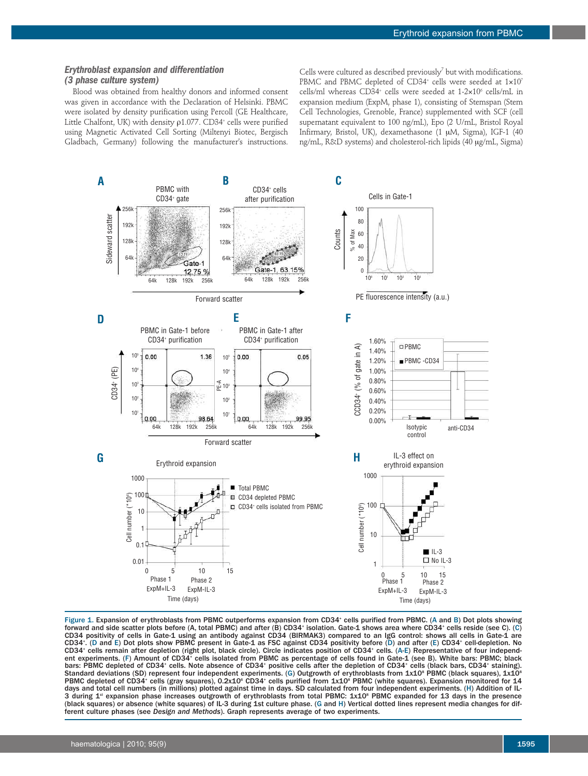## *Erythroblast expansion and differentiation (3 phase culture system)*

Blood was obtained from healthy donors and informed consent was given in accordance with the Declaration of Helsinki. PBMC were isolated by density purification using Percoll (GE Healthcare, Little Chalfont, UK) with density  $\rho$ 1.077. CD34<sup>+</sup> cells were purified using Magnetic Activated Cell Sorting (Miltenyi Biotec, Bergisch Gladbach, Germany) following the manufacturer's instructions.

Cells were cultured as described previously<sup>7</sup> but with modifications. PBMC and PBMC depleted of CD34<sup>+</sup> cells were seeded at  $1\times10^{7}$ cells/ml whereas CD34<sup>+</sup> cells were seeded at 1-2×10<sup>6</sup> cells/mL in expansion medium (ExpM, phase 1), consisting of Stemspan (Stem Cell Technologies, Grenoble, France) supplemented with SCF (cell supernatant equivalent to 100 ng/mL), Epo (2 U/mL, Bristol Royal Infirmary, Bristol, UK), dexamethasone (1 µM, Sigma), IGF-1 (40 ng/mL, R&D systems) and cholesterol-rich lipids (40 µg/mL, Sigma)



Figure 1. Expansion of erythroblasts from PBMC outperforms expansion from CD34<sup>+</sup> cells purified from PBMC. (A and B) Dot plots showing forward and side scatter plots before (A, total PBMC) and after (B) CD34+ isolation. Gate-1 shows area where CD34+ cells reside (see C). (C) CD34 positivity of cells in Gate-1 using an antibody against CD34 (BIRMAK3) compared to an IgG control: shows all cells in Gate-1 are CD34+ . (D and E) Dot plots show PBMC present in Gate-1 as FSC against CD34 positivity before (D) and after (E) CD34+ cell-depletion. No CD34+ cells remain after depletion (right plot, black circle). Circle indicates position of CD34+ cells. (A-E) Representative of four independent experiments. (F) Amount of CD34+ cells isolated from PBMC as percentage of cells found in Gate-1 (see B). White bars: PBMC; black bars: PBMC depleted of CD34<sup>+</sup> cells. Note absence of CD34<sup>+</sup> positive cells after the depletion of CD34<sup>+</sup> cells (black bars, CD34<sup>+</sup> staining). Standard deviations (SD) represent four independent experiments. (G) Outgrowth of erythroblasts from 1x10 $^{\rm s}$  PBMC (black squares), 1x10 $^{\rm s}$ PBMC depleted of CD34<sup>+</sup> cells (gray squares), 0.2x10<sup>6</sup> CD34<sup>+</sup> cells purified from 1x10<sup>8</sup> PBMC (white squares). Expansion monitored for 14 days and total cell numbers (in millions) plotted against time in days. SD calculated from four independent experiments. (H) Addition of IL-3 during 1<sup>st</sup> expansion phase increases outgrowth of erythroblasts from total PBMC: 1x10<sup>s</sup> PBMC expanded for 13 days in the presence (black squares) or absence (white squares) of IL-3 during 1st culture phase. (G and H) Vertical dotted lines represent media changes for different culture phases (see *Design and Methods*). Graph represents average of two experiments.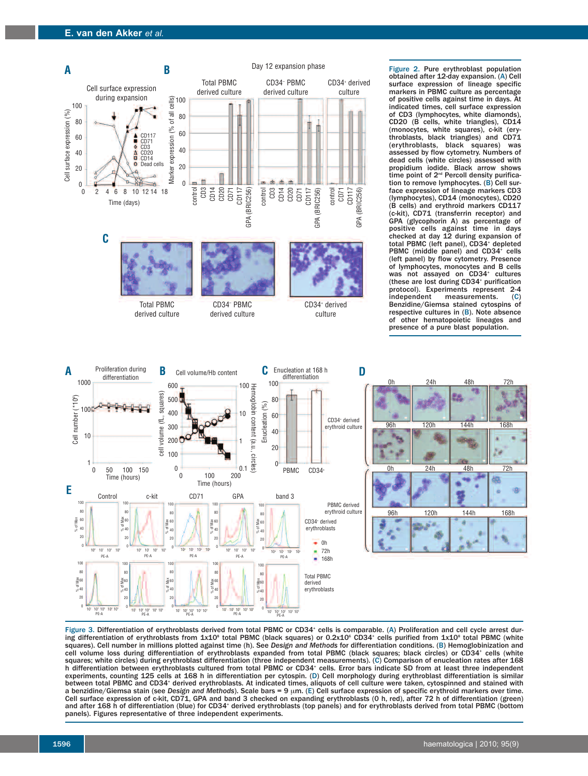

derived culture derived culture culture



Figure 2. Pure erythroblast population obtained after 12-day expansion. (A) Cell surface expression of lineage specific markers in PBMC culture as percentage of positive cells against time in days. At indicated times, cell surface expression of CD3 (lymphocytes, white diamonds), CD20 (B cells, white triangles), CD14 (monocytes, white squares), c-kit (erythroblasts, black triangles) and CD71 (erythroblasts, black squares) was assessed by flow cytometry. Numbers of dead cells (white circles) assessed with propidium iodide. Black arrow shows time point of 2<sup>nd</sup> Percoll density purification to remove lymphocytes. (B) Cell surface expression of lineage markers CD3 (lymphocytes), CD14 (monocytes), CD20 (B cells) and erythroid markers CD117 (c-kit), CD71 (transferrin receptor) and GPA (glycophorin A) as percentage of positive cells against time in days checked at day 12 during expansion of total PBMC (left panel), CD34+ depleted PBMC (middle panel) and CD34<sup>+</sup> cells (left panel) by flow cytometry. Presence of lymphocytes, monocytes and B cells was not assayed on CD34<sup>+</sup> cultures (these are lost during CD34<sup>+</sup> purification protocol). Experiments represent 2-4<br>independent measurements. (C) measurements. Benzidine/Giemsa stained cytospins of respective cultures in (B). Note absence of other hematopoietic lineages and presence of a pure blast population.



Figure 3. Differentiation of erythroblasts derived from total PBMC or CD34<sup>+</sup> cells is comparable. (A) Proliferation and cell cycle arrest during differentiation of erythroblasts from 1x10<sup>8</sup> total PBMC (black squares) or 0.2x10<sup>6</sup> CD34<sup>+</sup> cells purified from 1x10<sup>8</sup> total PBMC (white squares). Cell number in millions plotted against time (h). See *Design and Methods* for differentiation conditions. (B) Hemoglobinization and cell volume loss during differentiation of erythroblasts expanded from total PBMC (black squares; black circles) or CD34+ cells (white squares; white circles) during erythroblast differentiation (three independent measurements). (C) Comparison of enucleation rates after 168 h differentiation between erythroblasts cultured from total PBMC or CD34+ cells. Error bars indicate SD from at least three independent experiments, counting 125 cells at 168 h in differentiation per cytospin. (D) Cell morphology during erythroblast differentiation is similar between total PBMC and CD34+ derived erythroblasts. At indicated times, aliquots of cell culture were taken, cytospinned and stained with a benzidine/Giemsa stain (see *Design and Methods*). Scale bars = 9 µm. (E) Cell surface expression of specific erythroid markers over time. Cell surface expression of c-kit, CD71, GPA and band 3 checked on expanding erythroblasts (0 h, red), after 72 h of differentiation (green) and after 168 h of differentiation (blue) for CD34+ derived erythroblasts (top panels) and for erythroblasts derived from total PBMC (bottom panels). Figures representative of three independent experiments.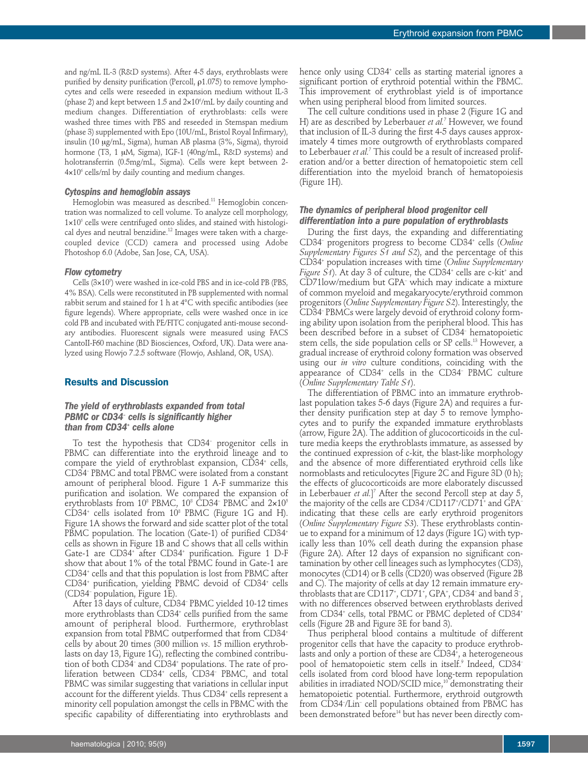and ng/mL IL-3 (R&D systems). After 4-5 days, erythroblasts were purified by density purification (Percoll, ρ1.075) to remove lymphocytes and cells were reseeded in expansion medium without IL-3 (phase 2) and kept between 1.5 and  $2{\times}10^{\circ}{\prime} \mathrm{mL}$  by daily counting and medium changes. Differentiation of erythroblasts: cells were washed three times with PBS and reseeded in Stemspan medium (phase 3) supplemented with Epo (10U/mL, Bristol Royal Infirmary), insulin (10 mg/mL, Sigma), human AB plasma (3%, Sigma), thyroid hormone (T3, 1 µM, Sigma), IGF-1 (40ng/mL, R&D systems) and holotransferrin (0.5mg/mL, Sigma). Cells were kept between 2-  $4\times10^6$  cells/ml by daily counting and medium changes.

#### *Cytospins and hemoglobin assays*

Hemoglobin was measured as described. <sup>11</sup> Hemoglobin concentration was normalized to cell volume. To analyze cell morphology,  $1 \times 10^5$  cells were centrifuged onto slides, and stained with histological dyes and neutral benzidine. <sup>12</sup> Images were taken with a chargecoupled device (CCD) camera and processed using Adobe Photoshop 6.0 (Adobe, San Jose, CA, USA).

#### *Flow cytometry*

Cells  $(3\times10^\circ)$  were washed in ice-cold PBS and in ice-cold PB (PBS, 4% BSA). Cells were reconstituted in PB supplemented with normal rabbit serum and stained for 1 h at 4°C with specific antibodies (see figure legends). Where appropriate, cells were washed once in ice cold PB and incubated with PE/FITC conjugated anti-mouse secondary antibodies. Fluorescent signals were measured using FACS CantoII-F60 machine (BD Biosciences, Oxford, UK). Data were analyzed using Flowjo 7.2.5 software (Flowjo, Ashland, OR, USA).

#### **Results and Discussion**

## *The yield of erythroblasts expanded from total PBMC or CD34– cells is significantly higher than from CD34+ cells alone*

To test the hypothesis that CD34– progenitor cells in PBMC can differentiate into the erythroid lineage and to compare the yield of erythroblast expansion,  $CD34^+$  cells, CD34– PBMC and total PBMC were isolated from a constant amount of peripheral blood. Figure 1 A-F summarize this purification and isolation. We compared the expansion of erythroblasts from 10<sup>8</sup> PBMC, 10<sup>8</sup> CD34<sup>-</sup> PBMC and  $2\times10^5$  $CD34<sup>+</sup>$  cells isolated from  $10<sup>8</sup>$  PBMC (Figure 1G and H). Figure 1A shows the forward and side scatter plot of the total PBMC population. The location (Gate-1) of purified CD34<sup>+</sup> cells as shown in Figure 1B and C shows that all cells within Gate-1 are CD34<sup>+</sup> after CD34<sup>+</sup> purification. Figure 1 D-F show that about 1% of the total PBMC found in Gate-1 are CD34+ cells and that this population is lost from PBMC after CD34+ purification, yielding PBMC devoid of CD34+ cells (CD34– population, Figure 1E).

After 13 days of culture, CD34– PBMC yielded 10-12 times more erythroblasts than CD34<sup>+</sup> cells purified from the same amount of peripheral blood. Furthermore, erythroblast expansion from total PBMC outperformed that from CD34+ cells by about 20 times (300 million *vs*. 15 million erythroblasts on day 13, Figure 1G), reflecting the combined contribution of both CD34– and CD34+ populations. The rate of proliferation between CD34<sup>+</sup> cells, CD34<sup>-</sup> PBMC, and total PBMC was similar suggesting that variations in cellular input account for the different yields. Thus CD34<sup>+</sup> cells represent a minority cell population amongst the cells in PBMC with the specific capability of differentiating into erythroblasts and

hence only using CD34<sup>+</sup> cells as starting material ignores a significant portion of erythroid potential within the PBMC. This improvement of erythroblast yield is of importance when using peripheral blood from limited sources.

The cell culture conditions used in phase 2 (Figure 1G and H) are as described by Leberbauer *et al.* <sup>7</sup> However, we found that inclusion of IL-3 during the first 4-5 days causes approximately 4 times more outgrowth of erythroblasts compared to Leberbauer *et al.* <sup>7</sup> This could be a result of increased proliferation and/or a better direction of hematopoietic stem cell differentiation into the myeloid branch of hematopoiesis (Figure 1H).

## *The dynamics of peripheral blood progenitor cell differentiation into a pure population of erythroblasts*

During the first days, the expanding and differentiating CD34– progenitors progress to become CD34+ cells (*Online Supplementary Figures S1 and S2*), and the percentage of this CD34+ population increases with time (*Online Supplementary Figure S1*). At day 3 of culture, the CD34+ cells are c-kit <sup>+</sup> and CD71low/medium but GPA– which may indicate a mixture of common myeloid and megakaryocyte/erythroid common progenitors (*Online Supplementary Figure S2*). Interestingly, the CD34– PBMCs were largely devoid of erythroid colony forming ability upon isolation from the peripheral blood. This has been described before in a subset of CD34– hematopoietic stem cells, the side population cells or SP cells. <sup>13</sup> However, a gradual increase of erythroid colony formation was observed using our *in vitro* culture conditions, coinciding with the appearance of CD34+ cells in the CD34– PBMC culture (*Online Supplementary Table S1*).

The differentiation of PBMC into an immature erythroblast population takes 5-6 days (Figure 2A) and requires a further density purification step at day 5 to remove lymphocytes and to purify the expanded immature erythroblasts (arrow, Figure 2A). The addition of glucocorticoids in the culture media keeps the erythroblasts immature, as assessed by the continued expression of c-kit, the blast-like morphology and the absence of more differentiated erythroid cells like normoblasts and reticulocytes [Figure 2C and Figure 3D (0 h); the effects of glucocorticoids are more elaborately discussed in Leberbauer *et al.*] <sup>7</sup> After the second Percoll step at day 5, the majority of the cells are CD34– /CD117+ /CD71+ and GPA– indicating that these cells are early erythroid progenitors (*Online Supplementary Figure S3*). These erythroblasts continue to expand for a minimum of 12 days (Figure 1G) with typically less than 10% cell death during the expansion phase (Figure 2A). After 12 days of expansion no significant contamination by other cell lineages such as lymphocytes (CD3), monocytes (CD14) or B cells (CD20) was observed (Figure 2B and C). The majority of cells at day 12 remain immature erythroblasts that are CD117+, CD71+, GPA+, CD34<sup>-</sup> and band 3<sup>-</sup>, with no differences observed between erythroblasts derived from CD34<sup>+</sup> cells, total PBMC or PBMC depleted of CD34<sup>+</sup> cells (Figure 2B and Figure 3E for band 3).

Thus peripheral blood contains a multitude of different progenitor cells that have the capacity to produce erythroblasts and only a portion of these are CD34+ , a heterogeneous pool of hematopoietic stem cells in itself. <sup>9</sup> Indeed, CD34– cells isolated from cord blood have long-term repopulation abilities in irradiated NOD/SCID mice, <sup>10</sup> demonstrating their hematopoietic potential. Furthermore, erythroid outgrowth from CD34– /Lin– cell populations obtained from PBMC has been demonstrated before<sup>14</sup> but has never been directly com